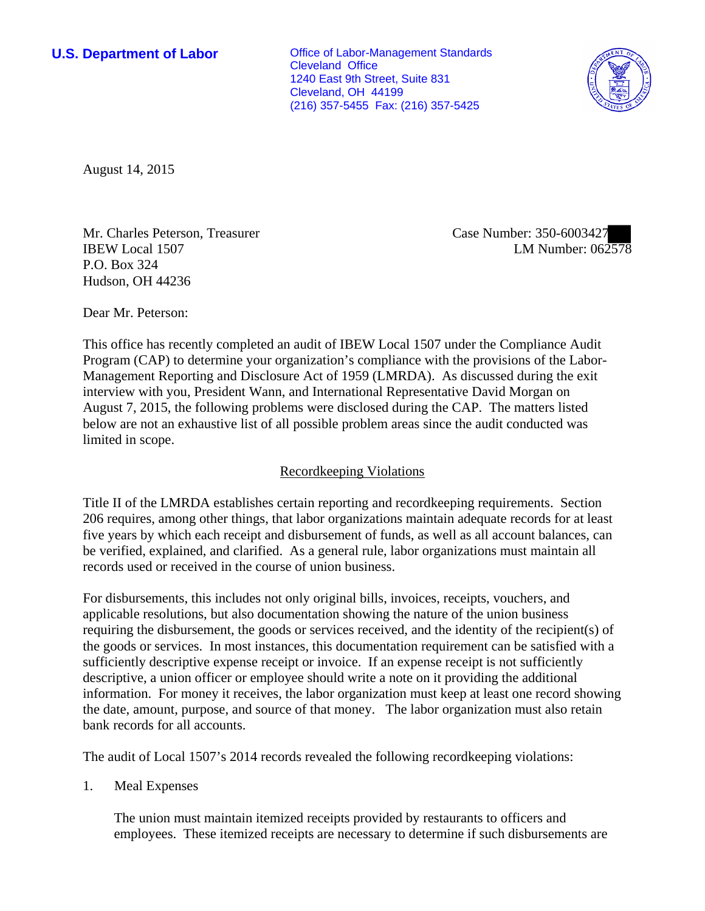**U.S. Department of Labor Office of Labor-Management Standards** Cleveland Office 1240 East 9th Street, Suite 831 Cleveland, OH 44199 (216) 357-5455 Fax: (216) 357-5425



August 14, 2015

Mr. Charles Peterson, Treasurer IBEW Local 1507 P.O. Box 324 Hudson, OH 44236

Case Number: 350-6003427 LM Number: 062578

Dear Mr. Peterson:

This office has recently completed an audit of IBEW Local 1507 under the Compliance Audit Program (CAP) to determine your organization's compliance with the provisions of the Labor-Management Reporting and Disclosure Act of 1959 (LMRDA). As discussed during the exit interview with you, President Wann, and International Representative David Morgan on August 7, 2015, the following problems were disclosed during the CAP. The matters listed below are not an exhaustive list of all possible problem areas since the audit conducted was limited in scope.

## Recordkeeping Violations

Title II of the LMRDA establishes certain reporting and recordkeeping requirements. Section 206 requires, among other things, that labor organizations maintain adequate records for at least five years by which each receipt and disbursement of funds, as well as all account balances, can be verified, explained, and clarified. As a general rule, labor organizations must maintain all records used or received in the course of union business.

For disbursements, this includes not only original bills, invoices, receipts, vouchers, and applicable resolutions, but also documentation showing the nature of the union business requiring the disbursement, the goods or services received, and the identity of the recipient(s) of the goods or services. In most instances, this documentation requirement can be satisfied with a sufficiently descriptive expense receipt or invoice. If an expense receipt is not sufficiently descriptive, a union officer or employee should write a note on it providing the additional information. For money it receives, the labor organization must keep at least one record showing the date, amount, purpose, and source of that money. The labor organization must also retain bank records for all accounts.

The audit of Local 1507's 2014 records revealed the following recordkeeping violations:

1. Meal Expenses

The union must maintain itemized receipts provided by restaurants to officers and employees. These itemized receipts are necessary to determine if such disbursements are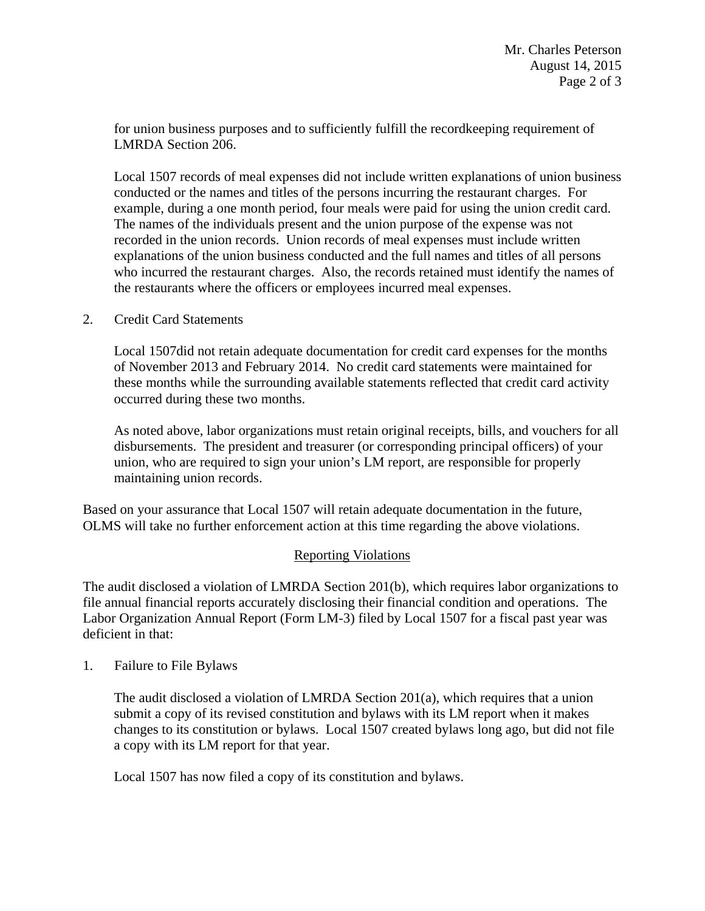for union business purposes and to sufficiently fulfill the recordkeeping requirement of LMRDA Section 206.

Local 1507 records of meal expenses did not include written explanations of union business conducted or the names and titles of the persons incurring the restaurant charges. For example, during a one month period, four meals were paid for using the union credit card. The names of the individuals present and the union purpose of the expense was not recorded in the union records. Union records of meal expenses must include written explanations of the union business conducted and the full names and titles of all persons who incurred the restaurant charges. Also, the records retained must identify the names of the restaurants where the officers or employees incurred meal expenses.

2. Credit Card Statements

Local 1507did not retain adequate documentation for credit card expenses for the months of November 2013 and February 2014. No credit card statements were maintained for these months while the surrounding available statements reflected that credit card activity occurred during these two months.

As noted above, labor organizations must retain original receipts, bills, and vouchers for all disbursements. The president and treasurer (or corresponding principal officers) of your union, who are required to sign your union's LM report, are responsible for properly maintaining union records.

Based on your assurance that Local 1507 will retain adequate documentation in the future, OLMS will take no further enforcement action at this time regarding the above violations.

## Reporting Violations

The audit disclosed a violation of LMRDA Section 201(b), which requires labor organizations to file annual financial reports accurately disclosing their financial condition and operations. The Labor Organization Annual Report (Form LM-3) filed by Local 1507 for a fiscal past year was deficient in that:

1. Failure to File Bylaws

The audit disclosed a violation of LMRDA Section  $201(a)$ , which requires that a union submit a copy of its revised constitution and bylaws with its LM report when it makes changes to its constitution or bylaws. Local 1507 created bylaws long ago, but did not file a copy with its LM report for that year.

Local 1507 has now filed a copy of its constitution and bylaws.